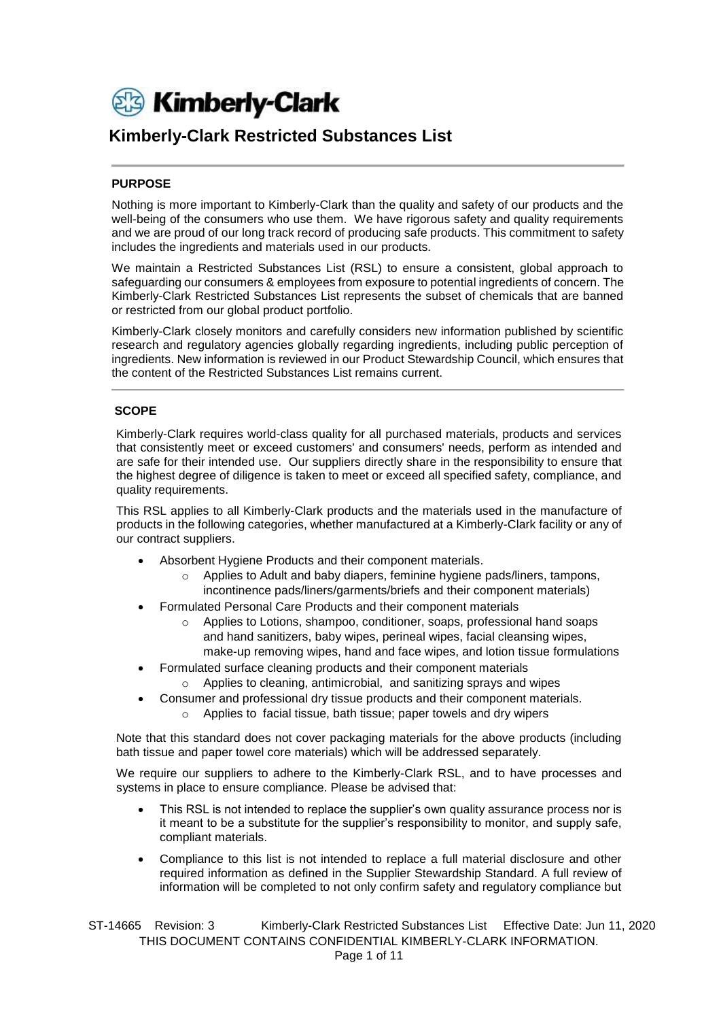

## **Kimberly-Clark Restricted Substances List**

### **PURPOSE**

Nothing is more important to Kimberly-Clark than the quality and safety of our products and the well-being of the consumers who use them. We have rigorous safety and quality requirements and we are proud of our long track record of producing safe products. This commitment to safety includes the ingredients and materials used in our products.

We maintain a Restricted Substances List (RSL) to ensure a consistent, global approach to safeguarding our consumers & employees from exposure to potential ingredients of concern. The Kimberly-Clark Restricted Substances List represents the subset of chemicals that are banned or restricted from our global product portfolio.

Kimberly-Clark closely monitors and carefully considers new information published by scientific research and regulatory agencies globally regarding ingredients, including public perception of ingredients. New information is reviewed in our Product Stewardship Council, which ensures that the content of the Restricted Substances List remains current.

#### **SCOPE**

Kimberly-Clark requires world-class quality for all purchased materials, products and services that consistently meet or exceed customers' and consumers' needs, perform as intended and are safe for their intended use. Our suppliers directly share in the responsibility to ensure that the highest degree of diligence is taken to meet or exceed all specified safety, compliance, and quality requirements.

This RSL applies to all Kimberly-Clark products and the materials used in the manufacture of products in the following categories, whether manufactured at a Kimberly-Clark facility or any of our contract suppliers.

- Absorbent Hygiene Products and their component materials.
	- Applies to Adult and baby diapers, feminine hygiene pads/liners, tampons, incontinence pads/liners/garments/briefs and their component materials)
- Formulated Personal Care Products and their component materials
	- $\circ$  Applies to Lotions, shampoo, conditioner, soaps, professional hand soaps and hand sanitizers, baby wipes, perineal wipes, facial cleansing wipes, make-up removing wipes, hand and face wipes, and lotion tissue formulations
- Formulated surface cleaning products and their component materials
	- o Applies to cleaning, antimicrobial, and sanitizing sprays and wipes
- Consumer and professional dry tissue products and their component materials. o Applies to facial tissue, bath tissue; paper towels and dry wipers

Note that this standard does not cover packaging materials for the above products (including bath tissue and paper towel core materials) which will be addressed separately.

We require our suppliers to adhere to the Kimberly-Clark RSL, and to have processes and systems in place to ensure compliance. Please be advised that:

- This RSL is not intended to replace the supplier's own quality assurance process nor is it meant to be a substitute for the supplier's responsibility to monitor, and supply safe, compliant materials.
- Compliance to this list is not intended to replace a full material disclosure and other required information as defined in the Supplier Stewardship Standard. A full review of information will be completed to not only confirm safety and regulatory compliance but

ST-14665 Revision: 3 Kimberly-Clark Restricted Substances List Effective Date: Jun 11, 2020 THIS DOCUMENT CONTAINS CONFIDENTIAL KIMBERLY-CLARK INFORMATION.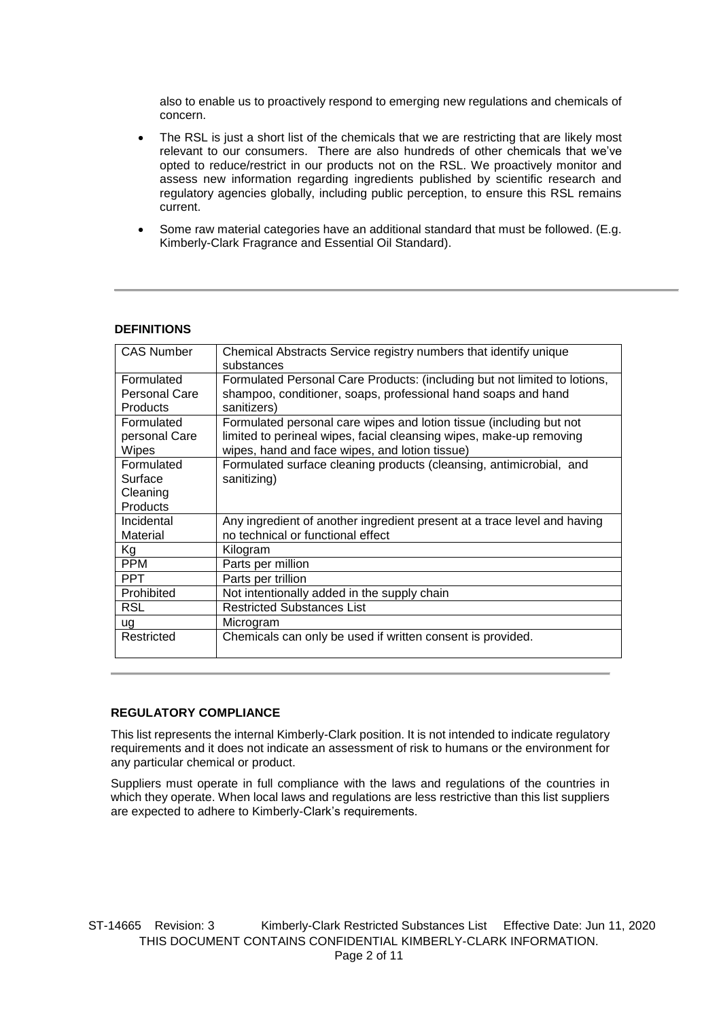also to enable us to proactively respond to emerging new regulations and chemicals of concern.

- The RSL is just a short list of the chemicals that we are restricting that are likely most relevant to our consumers. There are also hundreds of other chemicals that we've opted to reduce/restrict in our products not on the RSL. We proactively monitor and assess new information regarding ingredients published by scientific research and regulatory agencies globally, including public perception, to ensure this RSL remains current.
- Some raw material categories have an additional standard that must be followed. (E.g. Kimberly-Clark Fragrance and Essential Oil Standard).

#### **DEFINITIONS**

| <b>CAS Number</b>                                    | Chemical Abstracts Service registry numbers that identify unique<br>substances                                                                                                               |
|------------------------------------------------------|----------------------------------------------------------------------------------------------------------------------------------------------------------------------------------------------|
| Formulated<br>Personal Care<br><b>Products</b>       | Formulated Personal Care Products: (including but not limited to lotions,<br>shampoo, conditioner, soaps, professional hand soaps and hand<br>sanitizers)                                    |
| Formulated<br>personal Care<br>Wipes                 | Formulated personal care wipes and lotion tissue (including but not<br>limited to perineal wipes, facial cleansing wipes, make-up removing<br>wipes, hand and face wipes, and lotion tissue) |
| Formulated<br>Surface<br>Cleaning<br><b>Products</b> | Formulated surface cleaning products (cleansing, antimicrobial, and<br>sanitizing)                                                                                                           |
| Incidental<br>Material                               | Any ingredient of another ingredient present at a trace level and having<br>no technical or functional effect                                                                                |
| Kg                                                   | Kilogram                                                                                                                                                                                     |
| <b>PPM</b>                                           | Parts per million                                                                                                                                                                            |
| <b>PPT</b>                                           | Parts per trillion                                                                                                                                                                           |
| Prohibited                                           | Not intentionally added in the supply chain                                                                                                                                                  |
| RSL                                                  | <b>Restricted Substances List</b>                                                                                                                                                            |
| ug                                                   | Microgram                                                                                                                                                                                    |
| Restricted                                           | Chemicals can only be used if written consent is provided.                                                                                                                                   |

#### **REGULATORY COMPLIANCE**

This list represents the internal Kimberly-Clark position. It is not intended to indicate regulatory requirements and it does not indicate an assessment of risk to humans or the environment for any particular chemical or product.

Suppliers must operate in full compliance with the laws and regulations of the countries in which they operate. When local laws and regulations are less restrictive than this list suppliers are expected to adhere to Kimberly-Clark's requirements.

ST-14665 Revision: 3 Kimberly-Clark Restricted Substances List Effective Date: Jun 11, 2020 THIS DOCUMENT CONTAINS CONFIDENTIAL KIMBERLY-CLARK INFORMATION. Page 2 of 11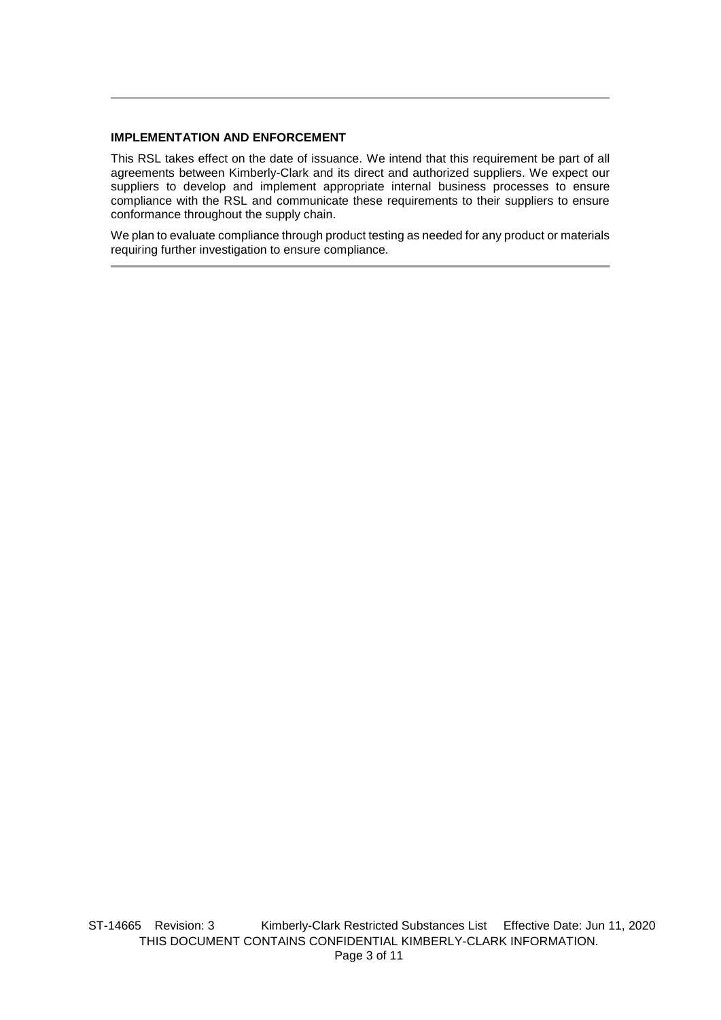#### **IMPLEMENTATION AND ENFORCEMENT**

This RSL takes effect on the date of issuance. We intend that this requirement be part of all agreements between Kimberly-Clark and its direct and authorized suppliers. We expect our suppliers to develop and implement appropriate internal business processes to ensure compliance with the RSL and communicate these requirements to their suppliers to ensure conformance throughout the supply chain.

We plan to evaluate compliance through product testing as needed for any product or materials requiring further investigation to ensure compliance.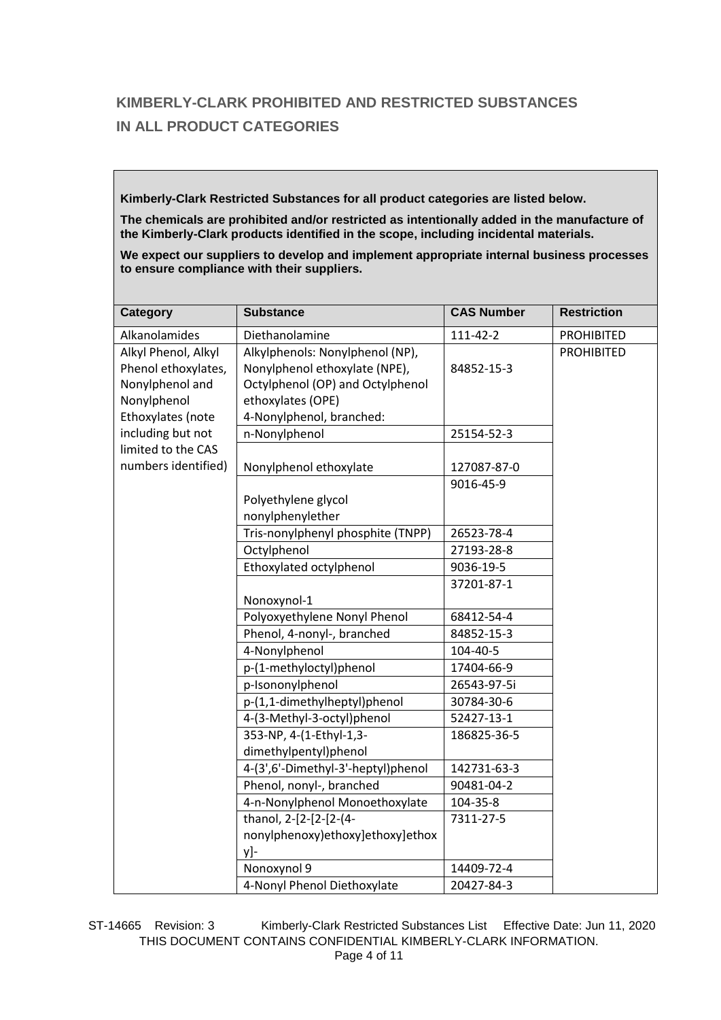# **KIMBERLY-CLARK PROHIBITED AND RESTRICTED SUBSTANCES IN ALL PRODUCT CATEGORIES**

**Kimberly-Clark Restricted Substances for all product categories are listed below.** 

**The chemicals are prohibited and/or restricted as intentionally added in the manufacture of the Kimberly-Clark products identified in the scope, including incidental materials.**

**We expect our suppliers to develop and implement appropriate internal business processes to ensure compliance with their suppliers.**

| Category                                                      | <b>Substance</b>                                                                                     | <b>CAS Number</b> | <b>Restriction</b> |
|---------------------------------------------------------------|------------------------------------------------------------------------------------------------------|-------------------|--------------------|
| Alkanolamides                                                 | Diethanolamine                                                                                       | 111-42-2          | <b>PROHIBITED</b>  |
| Alkyl Phenol, Alkyl<br>Phenol ethoxylates,<br>Nonylphenol and | Alkylphenols: Nonylphenol (NP),<br>Nonylphenol ethoxylate (NPE),<br>Octylphenol (OP) and Octylphenol | 84852-15-3        | <b>PROHIBITED</b>  |
| Nonylphenol<br>Ethoxylates (note                              | ethoxylates (OPE)<br>4-Nonylphenol, branched:                                                        |                   |                    |
| including but not                                             | n-Nonylphenol                                                                                        | 25154-52-3        |                    |
| limited to the CAS                                            |                                                                                                      |                   |                    |
| numbers identified)                                           | Nonylphenol ethoxylate                                                                               | 127087-87-0       |                    |
|                                                               |                                                                                                      | 9016-45-9         |                    |
|                                                               | Polyethylene glycol<br>nonylphenylether                                                              |                   |                    |
|                                                               | Tris-nonylphenyl phosphite (TNPP)                                                                    | 26523-78-4        |                    |
|                                                               | Octylphenol                                                                                          | 27193-28-8        |                    |
|                                                               | Ethoxylated octylphenol                                                                              | 9036-19-5         |                    |
|                                                               | Nonoxynol-1                                                                                          | 37201-87-1        |                    |
|                                                               | Polyoxyethylene Nonyl Phenol                                                                         | 68412-54-4        |                    |
|                                                               | Phenol, 4-nonyl-, branched                                                                           | 84852-15-3        |                    |
|                                                               | 4-Nonylphenol                                                                                        | 104-40-5          |                    |
|                                                               | p-(1-methyloctyl)phenol                                                                              | 17404-66-9        |                    |
|                                                               | p-Isononylphenol                                                                                     | 26543-97-5i       |                    |
|                                                               | p-(1,1-dimethylheptyl)phenol                                                                         | 30784-30-6        |                    |
|                                                               | 4-(3-Methyl-3-octyl)phenol                                                                           | 52427-13-1        |                    |
|                                                               | 353-NP, 4-(1-Ethyl-1,3-<br>dimethylpentyl)phenol                                                     | 186825-36-5       |                    |
|                                                               | 4-(3',6'-Dimethyl-3'-heptyl)phenol                                                                   | 142731-63-3       |                    |
|                                                               | Phenol, nonyl-, branched                                                                             | 90481-04-2        |                    |
|                                                               | 4-n-Nonylphenol Monoethoxylate                                                                       | 104-35-8          |                    |
|                                                               | thanol, 2-[2-[2-[2-(4-                                                                               | 7311-27-5         |                    |
|                                                               | nonylphenoxy)ethoxy]ethoxy]ethox<br>y]-                                                              |                   |                    |
|                                                               | Nonoxynol 9                                                                                          | 14409-72-4        |                    |
|                                                               | 4-Nonyl Phenol Diethoxylate                                                                          | 20427-84-3        |                    |

ST-14665 Revision: 3 Kimberly-Clark Restricted Substances List Effective Date: Jun 11, 2020 THIS DOCUMENT CONTAINS CONFIDENTIAL KIMBERLY-CLARK INFORMATION. Page 4 of 11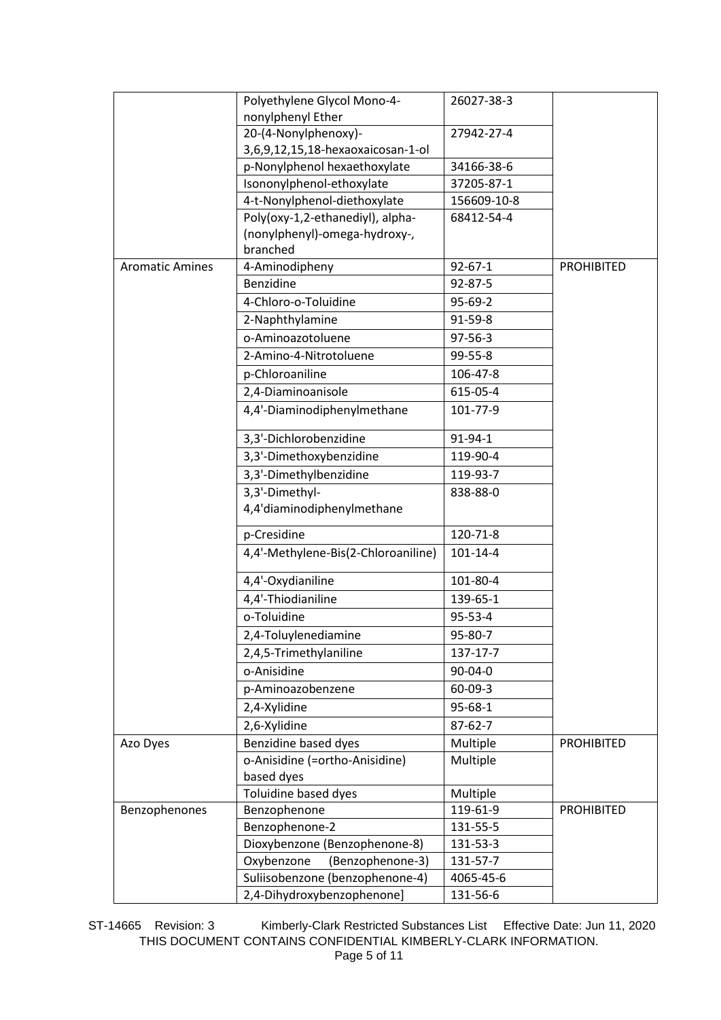|                        | Polyethylene Glycol Mono-4-         | 26027-38-3     |                   |
|------------------------|-------------------------------------|----------------|-------------------|
|                        | nonylphenyl Ether                   |                |                   |
|                        | 20-(4-Nonylphenoxy)-                | 27942-27-4     |                   |
|                        | 3,6,9,12,15,18-hexaoxaicosan-1-ol   |                |                   |
|                        | p-Nonylphenol hexaethoxylate        | 34166-38-6     |                   |
|                        | Isononylphenol-ethoxylate           | 37205-87-1     |                   |
|                        | 4-t-Nonylphenol-diethoxylate        | 156609-10-8    |                   |
|                        | Poly(oxy-1,2-ethanediyl), alpha-    | 68412-54-4     |                   |
|                        | (nonylphenyl)-omega-hydroxy-,       |                |                   |
|                        | branched                            |                |                   |
| <b>Aromatic Amines</b> | 4-Aminodipheny                      | $92 - 67 - 1$  | <b>PROHIBITED</b> |
|                        | Benzidine                           | 92-87-5        |                   |
|                        | 4-Chloro-o-Toluidine                | $95-69-2$      |                   |
|                        | 2-Naphthylamine                     | 91-59-8        |                   |
|                        | o-Aminoazotoluene                   | 97-56-3        |                   |
|                        | 2-Amino-4-Nitrotoluene              | 99-55-8        |                   |
|                        | p-Chloroaniline                     | 106-47-8       |                   |
|                        | 2,4-Diaminoanisole                  | 615-05-4       |                   |
|                        | 4,4'-Diaminodiphenylmethane         | 101-77-9       |                   |
|                        | 3,3'-Dichlorobenzidine              | 91-94-1        |                   |
|                        | 3,3'-Dimethoxybenzidine             | 119-90-4       |                   |
|                        | 3,3'-Dimethylbenzidine              | 119-93-7       |                   |
|                        | 3,3'-Dimethyl-                      | 838-88-0       |                   |
|                        | 4,4'diaminodiphenylmethane          |                |                   |
|                        | p-Cresidine                         | 120-71-8       |                   |
|                        | 4,4'-Methylene-Bis(2-Chloroaniline) | $101 - 14 - 4$ |                   |
|                        | 4,4'-Oxydianiline                   | 101-80-4       |                   |
|                        | 4,4'-Thiodianiline                  | 139-65-1       |                   |
|                        | o-Toluidine                         | 95-53-4        |                   |
|                        | 2,4-Toluylenediamine                | 95-80-7        |                   |
|                        | 2,4,5-Trimethylaniline              | 137-17-7       |                   |
|                        | o-Anisidine                         | 90-04-0        |                   |
|                        | p-Aminoazobenzene                   | $60 - 09 - 3$  |                   |
|                        | 2,4-Xylidine                        | 95-68-1        |                   |
|                        | 2,6-Xylidine                        | $87 - 62 - 7$  |                   |
| Azo Dyes               | Benzidine based dyes                | Multiple       | <b>PROHIBITED</b> |
|                        | o-Anisidine (=ortho-Anisidine)      | Multiple       |                   |
|                        | based dyes                          |                |                   |
|                        | Toluidine based dyes                | Multiple       |                   |
| Benzophenones          | Benzophenone                        | 119-61-9       | <b>PROHIBITED</b> |
|                        | Benzophenone-2                      | 131-55-5       |                   |
|                        | Dioxybenzone (Benzophenone-8)       | 131-53-3       |                   |
|                        | Oxybenzone<br>(Benzophenone-3)      | 131-57-7       |                   |
|                        | Suliisobenzone (benzophenone-4)     | 4065-45-6      |                   |
|                        | 2,4-Dihydroxybenzophenone]          | 131-56-6       |                   |

ST-14665 Revision: 3 Kimberly-Clark Restricted Substances List Effective Date: Jun 11, 2020 THIS DOCUMENT CONTAINS CONFIDENTIAL KIMBERLY-CLARK INFORMATION. Page 5 of 11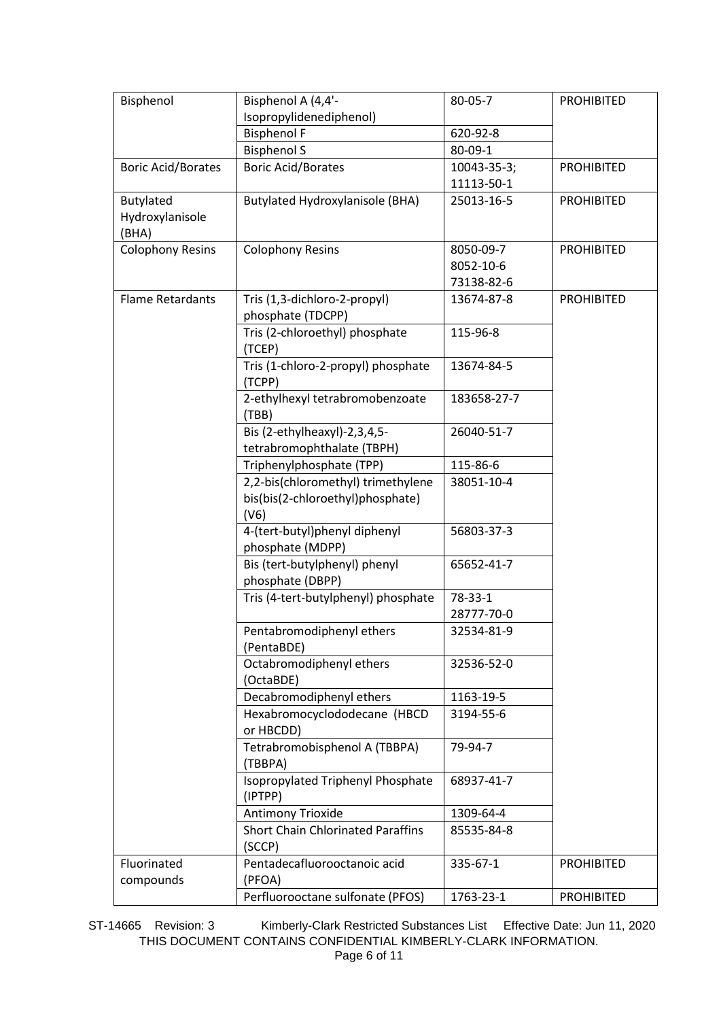| Bisphenol                 | Bisphenol A (4,4'-                                | 80-05-7     | <b>PROHIBITED</b> |
|---------------------------|---------------------------------------------------|-------------|-------------------|
|                           | Isopropylidenediphenol)                           |             |                   |
|                           | <b>Bisphenol F</b>                                | 620-92-8    |                   |
|                           | <b>Bisphenol S</b>                                | 80-09-1     |                   |
| <b>Boric Acid/Borates</b> | <b>Boric Acid/Borates</b>                         | 10043-35-3; | <b>PROHIBITED</b> |
|                           |                                                   | 11113-50-1  |                   |
| Butylated                 | <b>Butylated Hydroxylanisole (BHA)</b>            | 25013-16-5  | <b>PROHIBITED</b> |
| Hydroxylanisole           |                                                   |             |                   |
| (BHA)                     |                                                   |             |                   |
| <b>Colophony Resins</b>   | <b>Colophony Resins</b>                           | 8050-09-7   | <b>PROHIBITED</b> |
|                           |                                                   | 8052-10-6   |                   |
|                           |                                                   | 73138-82-6  |                   |
| <b>Flame Retardants</b>   | Tris (1,3-dichloro-2-propyl)<br>phosphate (TDCPP) | 13674-87-8  | <b>PROHIBITED</b> |
|                           | Tris (2-chloroethyl) phosphate                    | 115-96-8    |                   |
|                           | (TCEP)                                            |             |                   |
|                           | Tris (1-chloro-2-propyl) phosphate                | 13674-84-5  |                   |
|                           | (TCPP)<br>2-ethylhexyl tetrabromobenzoate         | 183658-27-7 |                   |
|                           | (TBB)                                             |             |                   |
|                           | Bis (2-ethylheaxyl)-2,3,4,5-                      | 26040-51-7  |                   |
|                           | tetrabromophthalate (TBPH)                        |             |                   |
|                           | Triphenylphosphate (TPP)                          | 115-86-6    |                   |
|                           | 2,2-bis(chloromethyl) trimethylene                | 38051-10-4  |                   |
|                           | bis(bis(2-chloroethyl)phosphate)<br>(V6)          |             |                   |
|                           | 4-(tert-butyl)phenyl diphenyl                     | 56803-37-3  |                   |
|                           | phosphate (MDPP)                                  |             |                   |
|                           | Bis (tert-butylphenyl) phenyl                     | 65652-41-7  |                   |
|                           | phosphate (DBPP)                                  |             |                   |
|                           | Tris (4-tert-butylphenyl) phosphate               | 78-33-1     |                   |
|                           |                                                   | 28777-70-0  |                   |
|                           | Pentabromodiphenyl ethers                         | 32534-81-9  |                   |
|                           | (PentaBDE)                                        |             |                   |
|                           | Octabromodiphenyl ethers                          | 32536-52-0  |                   |
|                           | (OctaBDE)                                         |             |                   |
|                           | Decabromodiphenyl ethers                          | 1163-19-5   |                   |
|                           | Hexabromocyclododecane (HBCD                      | 3194-55-6   |                   |
|                           | or HBCDD)                                         |             |                   |
|                           | Tetrabromobisphenol A (TBBPA)                     | 79-94-7     |                   |
|                           | (TBBPA)                                           |             |                   |
|                           | Isopropylated Triphenyl Phosphate<br>(IPTPP)      | 68937-41-7  |                   |
|                           | Antimony Trioxide                                 | 1309-64-4   |                   |
|                           | <b>Short Chain Chlorinated Paraffins</b>          | 85535-84-8  |                   |
|                           | (SCCP)                                            |             |                   |
| Fluorinated               | Pentadecafluorooctanoic acid                      | 335-67-1    | <b>PROHIBITED</b> |
| compounds                 | (PFOA)                                            |             |                   |
|                           | Perfluorooctane sulfonate (PFOS)                  | 1763-23-1   | <b>PROHIBITED</b> |

ST-14665 Revision: 3 Kimberly-Clark Restricted Substances List Effective Date: Jun 11, 2020 THIS DOCUMENT CONTAINS CONFIDENTIAL KIMBERLY-CLARK INFORMATION. Page 6 of 11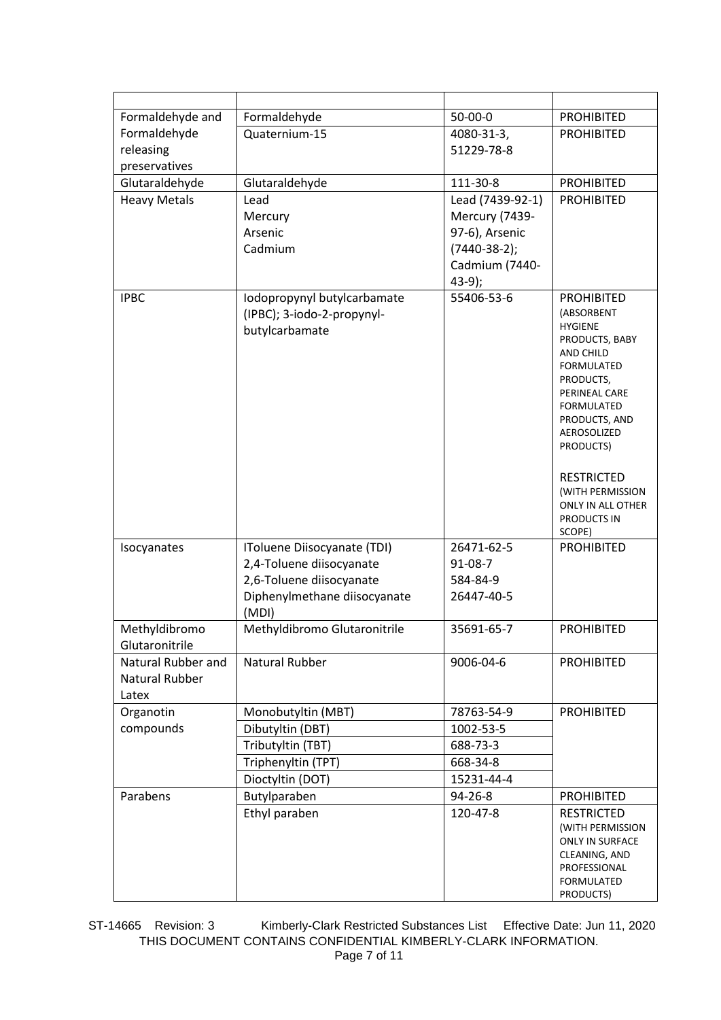| Formaldehyde and    | Formaldehyde                          | $50 - 00 - 0$                    | <b>PROHIBITED</b>                     |
|---------------------|---------------------------------------|----------------------------------|---------------------------------------|
| Formaldehyde        | Quaternium-15                         | 4080-31-3,                       | <b>PROHIBITED</b>                     |
| releasing           |                                       | 51229-78-8                       |                                       |
| preservatives       |                                       |                                  |                                       |
| Glutaraldehyde      | Glutaraldehyde                        | 111-30-8                         | <b>PROHIBITED</b>                     |
| <b>Heavy Metals</b> | Lead                                  | Lead (7439-92-1)                 | <b>PROHIBITED</b>                     |
|                     | Mercury<br>Arsenic                    | Mercury (7439-<br>97-6), Arsenic |                                       |
|                     | Cadmium                               | $(7440-38-2);$                   |                                       |
|                     |                                       | Cadmium (7440-                   |                                       |
|                     |                                       | $43-9;$                          |                                       |
| <b>IPBC</b>         | Iodopropynyl butylcarbamate           | 55406-53-6                       | <b>PROHIBITED</b>                     |
|                     | (IPBC); 3-iodo-2-propynyl-            |                                  | (ABSORBENT                            |
|                     | butylcarbamate                        |                                  | <b>HYGIENE</b><br>PRODUCTS, BABY      |
|                     |                                       |                                  | AND CHILD                             |
|                     |                                       |                                  | <b>FORMULATED</b>                     |
|                     |                                       |                                  | PRODUCTS,<br>PERINEAL CARE            |
|                     |                                       |                                  | <b>FORMULATED</b>                     |
|                     |                                       |                                  | PRODUCTS, AND                         |
|                     |                                       |                                  | AEROSOLIZED<br>PRODUCTS)              |
|                     |                                       |                                  |                                       |
|                     |                                       |                                  | <b>RESTRICTED</b>                     |
|                     |                                       |                                  | (WITH PERMISSION                      |
|                     |                                       |                                  | ONLY IN ALL OTHER<br>PRODUCTS IN      |
|                     |                                       |                                  | SCOPE)                                |
| Isocyanates         | IToluene Diisocyanate (TDI)           | 26471-62-5                       | <b>PROHIBITED</b>                     |
|                     | 2,4-Toluene diisocyanate              | $91 - 08 - 7$                    |                                       |
|                     | 2,6-Toluene diisocyanate              | 584-84-9                         |                                       |
|                     | Diphenylmethane diisocyanate          | 26447-40-5                       |                                       |
| Methyldibromo       | (MDI)<br>Methyldibromo Glutaronitrile | 35691-65-7                       | <b>PROHIBITED</b>                     |
| Glutaronitrile      |                                       |                                  |                                       |
| Natural Rubber and  | <b>Natural Rubber</b>                 | 9006-04-6                        | <b>PROHIBITED</b>                     |
| Natural Rubber      |                                       |                                  |                                       |
| Latex               |                                       |                                  |                                       |
| Organotin           | Monobutyltin (MBT)                    | 78763-54-9                       | <b>PROHIBITED</b>                     |
| compounds           | Dibutyltin (DBT)                      | 1002-53-5                        |                                       |
|                     | Tributyltin (TBT)                     | 688-73-3                         |                                       |
|                     | Triphenyltin (TPT)                    | 668-34-8                         |                                       |
|                     | Dioctyltin (DOT)                      | 15231-44-4                       |                                       |
| Parabens            | Butylparaben                          | 94-26-8                          | <b>PROHIBITED</b>                     |
|                     | Ethyl paraben                         | 120-47-8                         | <b>RESTRICTED</b><br>(WITH PERMISSION |
|                     |                                       |                                  | <b>ONLY IN SURFACE</b>                |
|                     |                                       |                                  | CLEANING, AND                         |
|                     |                                       |                                  | PROFESSIONAL<br>FORMULATED            |
|                     |                                       |                                  | PRODUCTS)                             |

ST-14665 Revision: 3 Kimberly-Clark Restricted Substances List Effective Date: Jun 11, 2020 THIS DOCUMENT CONTAINS CONFIDENTIAL KIMBERLY-CLARK INFORMATION. Page 7 of 11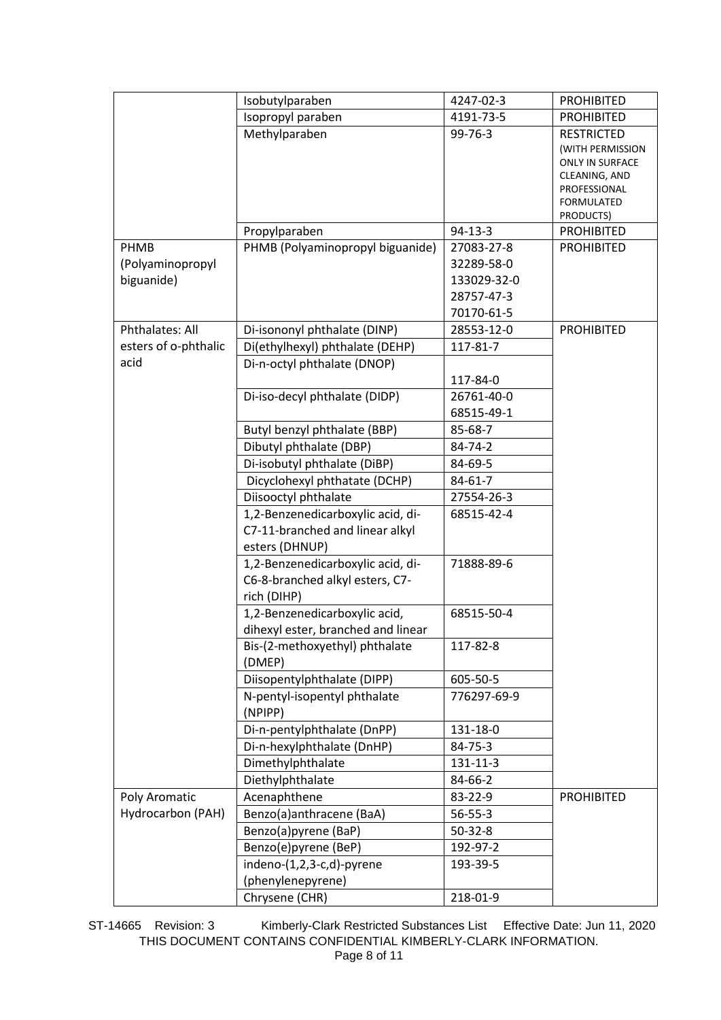|                                        | Isobutylparaben                                                                        | 4247-02-3                                                           | <b>PROHIBITED</b>                                                                                                           |
|----------------------------------------|----------------------------------------------------------------------------------------|---------------------------------------------------------------------|-----------------------------------------------------------------------------------------------------------------------------|
|                                        | Isopropyl paraben                                                                      | 4191-73-5                                                           | <b>PROHIBITED</b>                                                                                                           |
|                                        | Methylparaben                                                                          | $99 - 76 - 3$                                                       | <b>RESTRICTED</b><br>(WITH PERMISSION<br><b>ONLY IN SURFACE</b><br>CLEANING, AND<br>PROFESSIONAL<br>FORMULATED<br>PRODUCTS) |
|                                        | Propylparaben                                                                          | $94-13-3$                                                           | <b>PROHIBITED</b>                                                                                                           |
| PHMB<br>(Polyaminopropyl<br>biguanide) | PHMB (Polyaminopropyl biguanide)                                                       | 27083-27-8<br>32289-58-0<br>133029-32-0<br>28757-47-3<br>70170-61-5 | <b>PROHIBITED</b>                                                                                                           |
| Phthalates: All                        | Di-isononyl phthalate (DINP)                                                           | 28553-12-0                                                          | <b>PROHIBITED</b>                                                                                                           |
| esters of o-phthalic                   | Di(ethylhexyl) phthalate (DEHP)                                                        | 117-81-7                                                            |                                                                                                                             |
| acid                                   | Di-n-octyl phthalate (DNOP)<br>Di-iso-decyl phthalate (DIDP)                           | 117-84-0<br>26761-40-0<br>68515-49-1                                |                                                                                                                             |
|                                        | Butyl benzyl phthalate (BBP)                                                           | 85-68-7                                                             |                                                                                                                             |
|                                        | Dibutyl phthalate (DBP)                                                                | 84-74-2                                                             |                                                                                                                             |
|                                        | Di-isobutyl phthalate (DiBP)                                                           | 84-69-5                                                             |                                                                                                                             |
|                                        | Dicyclohexyl phthatate (DCHP)                                                          | $84 - 61 - 7$                                                       |                                                                                                                             |
|                                        | Diisooctyl phthalate                                                                   | 27554-26-3                                                          |                                                                                                                             |
|                                        | 1,2-Benzenedicarboxylic acid, di-<br>C7-11-branched and linear alkyl<br>esters (DHNUP) | 68515-42-4                                                          |                                                                                                                             |
|                                        | 1,2-Benzenedicarboxylic acid, di-<br>C6-8-branched alkyl esters, C7-<br>rich (DIHP)    | 71888-89-6                                                          |                                                                                                                             |
|                                        | 1,2-Benzenedicarboxylic acid,<br>dihexyl ester, branched and linear                    | 68515-50-4                                                          |                                                                                                                             |
|                                        | Bis-(2-methoxyethyl) phthalate<br>(DMEP)                                               | 117-82-8                                                            |                                                                                                                             |
|                                        | Diisopentylphthalate (DIPP)                                                            | 605-50-5                                                            |                                                                                                                             |
|                                        | N-pentyl-isopentyl phthalate<br>(NPIPP)                                                | 776297-69-9                                                         |                                                                                                                             |
|                                        | Di-n-pentylphthalate (DnPP)                                                            | 131-18-0                                                            |                                                                                                                             |
|                                        | Di-n-hexylphthalate (DnHP)                                                             | 84-75-3                                                             |                                                                                                                             |
|                                        | Dimethylphthalate                                                                      | 131-11-3                                                            |                                                                                                                             |
|                                        | Diethylphthalate                                                                       | 84-66-2                                                             |                                                                                                                             |
| Poly Aromatic                          | Acenaphthene                                                                           | 83-22-9                                                             | <b>PROHIBITED</b>                                                                                                           |
| Hydrocarbon (PAH)                      | Benzo(a)anthracene (BaA)                                                               | $56 - 55 - 3$                                                       |                                                                                                                             |
|                                        | Benzo(a)pyrene (BaP)                                                                   | $50 - 32 - 8$                                                       |                                                                                                                             |
|                                        | Benzo(e)pyrene (BeP)                                                                   | 192-97-2                                                            |                                                                                                                             |
|                                        | indeno-(1,2,3-c,d)-pyrene                                                              | 193-39-5                                                            |                                                                                                                             |
|                                        | (phenylenepyrene)                                                                      |                                                                     |                                                                                                                             |
|                                        | Chrysene (CHR)                                                                         | 218-01-9                                                            |                                                                                                                             |

ST-14665 Revision: 3 Kimberly-Clark Restricted Substances List Effective Date: Jun 11, 2020 THIS DOCUMENT CONTAINS CONFIDENTIAL KIMBERLY-CLARK INFORMATION. Page 8 of 11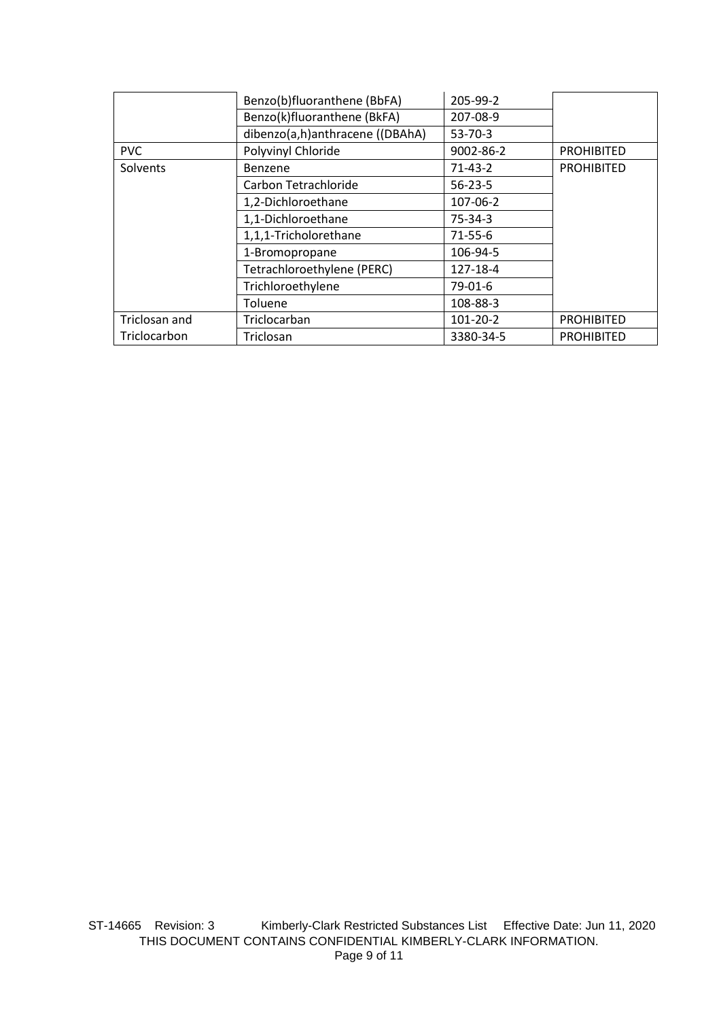|               | Benzo(b)fluoranthene (BbFA)     | 205-99-2      |                   |
|---------------|---------------------------------|---------------|-------------------|
|               | Benzo(k)fluoranthene (BkFA)     | 207-08-9      |                   |
|               | dibenzo(a,h)anthracene ((DBAhA) | $53 - 70 - 3$ |                   |
| <b>PVC</b>    | Polyvinyl Chloride              | 9002-86-2     | <b>PROHIBITED</b> |
| Solvents      | Benzene                         | $71-43-2$     | <b>PROHIBITED</b> |
|               | Carbon Tetrachloride            | $56 - 23 - 5$ |                   |
|               | 1,2-Dichloroethane              | 107-06-2      |                   |
|               | 1,1-Dichloroethane              | $75-34-3$     |                   |
|               | 1,1,1-Tricholorethane           | $71 - 55 - 6$ |                   |
|               | 1-Bromopropane                  | 106-94-5      |                   |
|               | Tetrachloroethylene (PERC)      | 127-18-4      |                   |
|               | Trichloroethylene               | 79-01-6       |                   |
|               | Toluene                         | 108-88-3      |                   |
| Triclosan and | Triclocarban                    | 101-20-2      | <b>PROHIBITED</b> |
| Triclocarbon  | Triclosan                       | 3380-34-5     | <b>PROHIBITED</b> |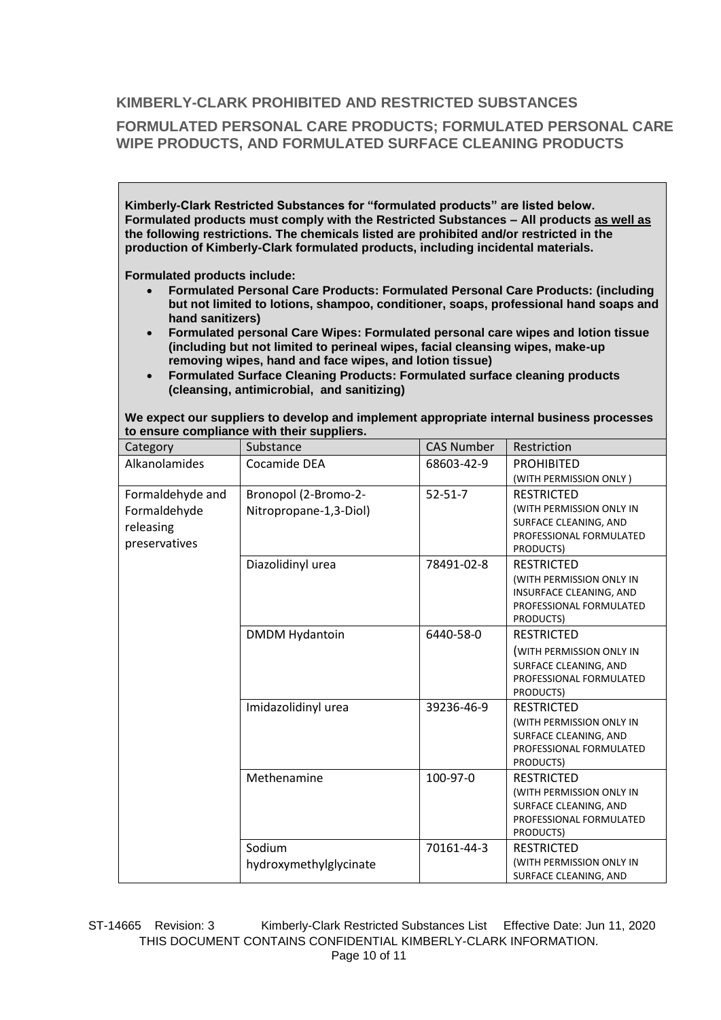### **KIMBERLY-CLARK PROHIBITED AND RESTRICTED SUBSTANCES**

## **FORMULATED PERSONAL CARE PRODUCTS; FORMULATED PERSONAL CARE WIPE PRODUCTS, AND FORMULATED SURFACE CLEANING PRODUCTS**

**Kimberly-Clark Restricted Substances for "formulated products" are listed below. Formulated products must comply with the Restricted Substances – All products as well as the following restrictions. The chemicals listed are prohibited and/or restricted in the production of Kimberly-Clark formulated products, including incidental materials.** 

**Formulated products include:**

- **Formulated Personal Care Products: Formulated Personal Care Products: (including but not limited to lotions, shampoo, conditioner, soaps, professional hand soaps and hand sanitizers)**
- **Formulated personal Care Wipes: Formulated personal care wipes and lotion tissue (including but not limited to perineal wipes, facial cleansing wipes, make-up removing wipes, hand and face wipes, and lotion tissue)**
- **Formulated Surface Cleaning Products: Formulated surface cleaning products (cleansing, antimicrobial, and sanitizing)**

| to ensure compliance with their suppliers. |                        |                   |                                                  |  |
|--------------------------------------------|------------------------|-------------------|--------------------------------------------------|--|
| Category                                   | Substance              | <b>CAS Number</b> | Restriction                                      |  |
| Alkanolamides                              | Cocamide DEA           | 68603-42-9        | <b>PROHIBITED</b>                                |  |
|                                            |                        |                   | (WITH PERMISSION ONLY)                           |  |
| Formaldehyde and                           | Bronopol (2-Bromo-2-   | $52 - 51 - 7$     | <b>RESTRICTED</b>                                |  |
| Formaldehyde                               | Nitropropane-1,3-Diol) |                   | (WITH PERMISSION ONLY IN                         |  |
| releasing                                  |                        |                   | SURFACE CLEANING, AND                            |  |
| preservatives                              |                        |                   | PROFESSIONAL FORMULATED<br>PRODUCTS)             |  |
|                                            | Diazolidinyl urea      | 78491-02-8        | <b>RESTRICTED</b>                                |  |
|                                            |                        |                   | (WITH PERMISSION ONLY IN                         |  |
|                                            |                        |                   | INSURFACE CLEANING, AND                          |  |
|                                            |                        |                   | PROFESSIONAL FORMULATED                          |  |
|                                            |                        |                   | PRODUCTS)                                        |  |
|                                            | <b>DMDM Hydantoin</b>  | 6440-58-0         | <b>RESTRICTED</b>                                |  |
|                                            |                        |                   | (WITH PERMISSION ONLY IN                         |  |
|                                            |                        |                   | SURFACE CLEANING, AND                            |  |
|                                            |                        |                   | PROFESSIONAL FORMULATED<br>PRODUCTS)             |  |
|                                            | Imidazolidinyl urea    | 39236-46-9        | <b>RESTRICTED</b>                                |  |
|                                            |                        |                   | (WITH PERMISSION ONLY IN                         |  |
|                                            |                        |                   | SURFACE CLEANING, AND                            |  |
|                                            |                        |                   | PROFESSIONAL FORMULATED                          |  |
|                                            |                        |                   | PRODUCTS)                                        |  |
|                                            | Methenamine            | 100-97-0          | <b>RESTRICTED</b>                                |  |
|                                            |                        |                   | (WITH PERMISSION ONLY IN                         |  |
|                                            |                        |                   | SURFACE CLEANING, AND<br>PROFESSIONAL FORMULATED |  |
|                                            |                        |                   | PRODUCTS)                                        |  |
|                                            | Sodium                 | 70161-44-3        | <b>RESTRICTED</b>                                |  |
|                                            | hydroxymethylglycinate |                   | (WITH PERMISSION ONLY IN                         |  |
|                                            |                        |                   | SURFACE CLEANING, AND                            |  |

**We expect our suppliers to develop and implement appropriate internal business processes to ensure compliance with their suppliers.**

ST-14665 Revision: 3 Kimberly-Clark Restricted Substances List Effective Date: Jun 11, 2020 THIS DOCUMENT CONTAINS CONFIDENTIAL KIMBERLY-CLARK INFORMATION. Page 10 of 11